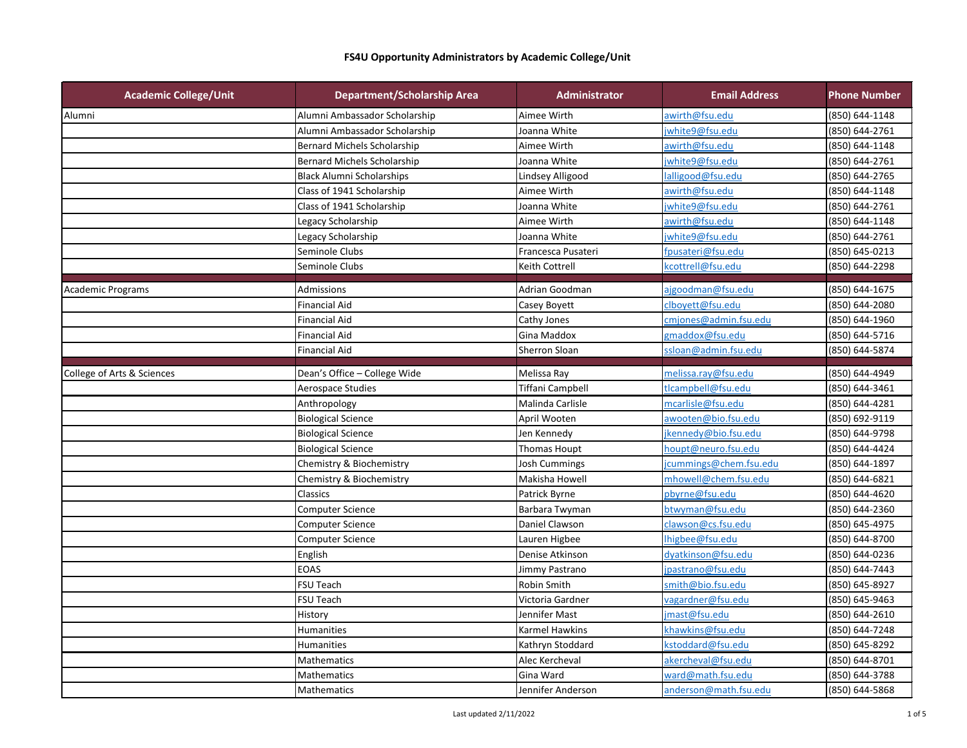| <b>Academic College/Unit</b> | <b>Department/Scholarship Area</b> | <b>Administrator</b>    | <b>Email Address</b>   | <b>Phone Number</b> |
|------------------------------|------------------------------------|-------------------------|------------------------|---------------------|
| Alumni                       | Alumni Ambassador Scholarship      | Aimee Wirth             | awirth@fsu.edu         | (850) 644-1148      |
|                              | Alumni Ambassador Scholarship      | Joanna White            | jwhite9@fsu.edu        | (850) 644-2761      |
|                              | <b>Bernard Michels Scholarship</b> | Aimee Wirth             | awirth@fsu.edu         | (850) 644-1148      |
|                              | <b>Bernard Michels Scholarship</b> | Joanna White            | jwhite9@fsu.edu        | (850) 644-2761      |
|                              | <b>Black Alumni Scholarships</b>   | Lindsey Alligood        | lalligood@fsu.edu      | (850) 644-2765      |
|                              | Class of 1941 Scholarship          | Aimee Wirth             | awirth@fsu.edu         | (850) 644-1148      |
|                              | Class of 1941 Scholarship          | Joanna White            | jwhite9@fsu.edu        | (850) 644-2761      |
|                              | Legacy Scholarship                 | Aimee Wirth             | awirth@fsu.edu         | (850) 644-1148      |
|                              | Legacy Scholarship                 | Joanna White            | jwhite9@fsu.edu        | (850) 644-2761      |
|                              | Seminole Clubs                     | Francesca Pusateri      | fpusateri@fsu.edu      | (850) 645-0213      |
|                              | Seminole Clubs                     | Keith Cottrell          | kcottrell@fsu.edu      | (850) 644-2298      |
|                              |                                    |                         |                        |                     |
| <b>Academic Programs</b>     | Admissions<br><b>Financial Aid</b> | Adrian Goodman          | ajgoodman@fsu.edu      | (850) 644-1675      |
|                              |                                    | Casey Boyett            | clboyett@fsu.edu       | (850) 644-2080      |
|                              | <b>Financial Aid</b>               | Cathy Jones             | cmjones@admin.fsu.edu  | (850) 644-1960      |
|                              | <b>Financial Aid</b>               | Gina Maddox             | gmaddox@fsu.edu        | (850) 644-5716      |
|                              | <b>Financial Aid</b>               | Sherron Sloan           | ssloan@admin.fsu.edu   | (850) 644-5874      |
| College of Arts & Sciences   | Dean's Office - College Wide       | Melissa Ray             | melissa.ray@fsu.edu    | (850) 644-4949      |
|                              | Aerospace Studies                  | <b>Tiffani Campbell</b> | tlcampbell@fsu.edu     | (850) 644-3461      |
|                              | Anthropology                       | Malinda Carlisle        | mcarlisle@fsu.edu      | (850) 644-4281      |
|                              | <b>Biological Science</b>          | April Wooten            | awooten@bio.fsu.edu    | (850) 692-9119      |
|                              | <b>Biological Science</b>          | Jen Kennedy             | jkennedy@bio.fsu.edu   | (850) 644-9798      |
|                              | <b>Biological Science</b>          | Thomas Houpt            | houpt@neuro.fsu.edu    | (850) 644-4424      |
|                              | Chemistry & Biochemistry           | <b>Josh Cummings</b>    | icummings@chem.fsu.edu | (850) 644-1897      |
|                              | Chemistry & Biochemistry           | Makisha Howell          | mhowell@chem.fsu.edu   | (850) 644-6821      |
|                              | Classics                           | Patrick Byrne           | pbyrne@fsu.edu         | (850) 644-4620      |
|                              | Computer Science                   | Barbara Twyman          | btwyman@fsu.edu        | (850) 644-2360      |
|                              | <b>Computer Science</b>            | Daniel Clawson          | clawson@cs.fsu.edu     | (850) 645-4975      |
|                              | <b>Computer Science</b>            | Lauren Higbee           | Ihigbee@fsu.edu        | (850) 644-8700      |
|                              | English                            | Denise Atkinson         | dyatkinson@fsu.edu     | (850) 644-0236      |
|                              | <b>EOAS</b>                        | Jimmy Pastrano          | jpastrano@fsu.edu      | (850) 644-7443      |
|                              | FSU Teach                          | Robin Smith             | smith@bio.fsu.edu      | (850) 645-8927      |
|                              | FSU Teach                          | Victoria Gardner        | vagardner@fsu.edu      | (850) 645-9463      |
|                              | History                            | Jennifer Mast           | jmast@fsu.edu          | (850) 644-2610      |
|                              | Humanities                         | <b>Karmel Hawkins</b>   | khawkins@fsu.edu       | (850) 644-7248      |
|                              | Humanities                         | Kathryn Stoddard        | kstoddard@fsu.edu      | (850) 645-8292      |
|                              | Mathematics                        | Alec Kercheval          | akercheval@fsu.edu     | (850) 644-8701      |
|                              | Mathematics                        | Gina Ward               | ward@math.fsu.edu      | (850) 644-3788      |
|                              | Mathematics                        | Jennifer Anderson       | anderson@math.fsu.edu  | (850) 644-5868      |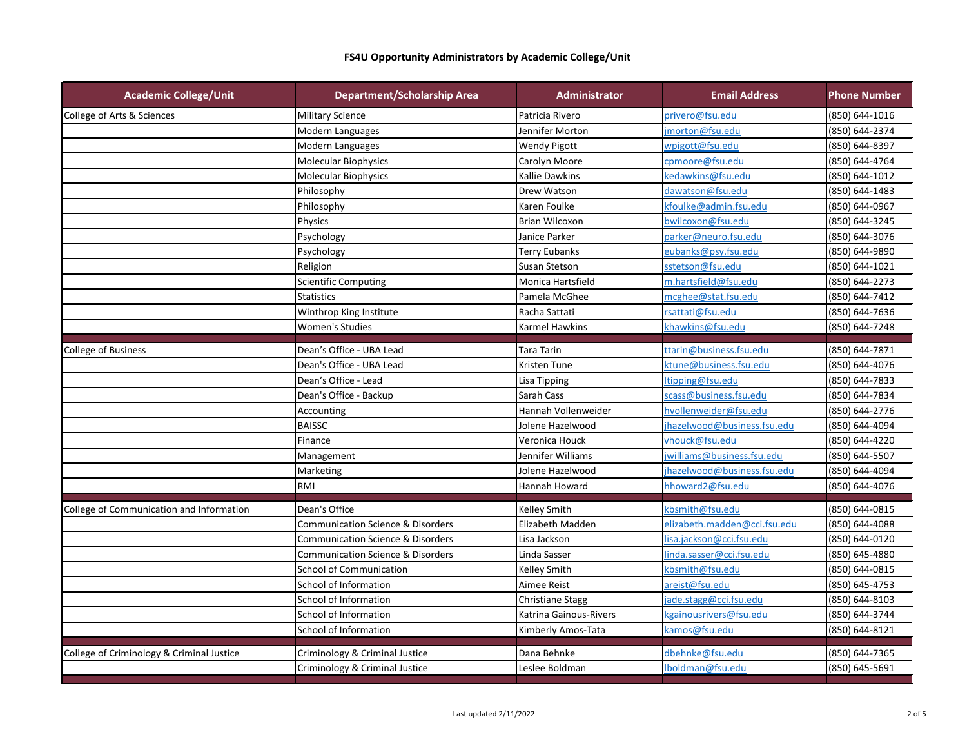| Patricia Rivero<br>privero@fsu.edu<br>(850) 644-1016<br><b>Military Science</b><br>Modern Languages<br>jmorton@fsu.edu<br>(850) 644-2374<br>Jennifer Morton<br>(850) 644-8397<br>Modern Languages<br><b>Wendy Pigott</b><br>wpigott@fsu.edu<br>Molecular Biophysics<br>Carolyn Moore<br>cpmoore@fsu.edu<br>(850) 644-4764<br>kedawkins@fsu.edu<br>Molecular Biophysics<br>Kallie Dawkins<br>(850) 644-1012<br>Philosophy<br>Drew Watson<br>dawatson@fsu.edu<br>(850) 644-1483<br>Philosophy<br>Karen Foulke<br>kfoulke@admin.fsu.edu<br>(850) 644-0967<br>bwilcoxon@fsu.edu<br>(850) 644-3245<br>Physics<br><b>Brian Wilcoxon</b><br>Psychology<br>Janice Parker<br>parker@neuro.fsu.edu<br>(850) 644-3076<br>Psychology<br><b>Terry Eubanks</b><br>eubanks@psy.fsu.edu<br>(850) 644-9890<br>Religion<br>sstetson@fsu.edu<br>(850) 644-1021<br>Susan Stetson<br>Scientific Computing<br>Monica Hartsfield<br>m.hartsfield@fsu.edu<br>(850) 644-2273<br>mcghee@stat.fsu.edu<br>(850) 644-7412<br><b>Statistics</b><br>Pamela McGhee<br>rsattati@fsu.edu<br>Racha Sattati<br>(850) 644-7636<br>Winthrop King Institute<br><b>Women's Studies</b><br><b>Karmel Hawkins</b><br>khawkins@fsu.edu<br>(850) 644-7248<br>Dean's Office - UBA Lead<br><b>Tara Tarin</b><br>ttarin@business.fsu.edu<br>(850) 644-7871<br><b>College of Business</b><br>Dean's Office - UBA Lead<br>ktune@business.fsu.edu<br>(850) 644-4076<br>Kristen Tune<br>Dean's Office - Lead<br>ltipping@fsu.edu<br>(850) 644-7833<br><b>Lisa Tipping</b><br>Dean's Office - Backup<br>Sarah Cass<br>scass@business.fsu.edu<br>(850) 644-7834<br>Hannah Vollenweider<br>hvollenweider@fsu.edu<br>(850) 644-2776<br>Accounting<br><b>BAISSC</b><br>Jolene Hazelwood<br>jhazelwood@business.fsu.edu<br>(850) 644-4094<br>vhouck@fsu.edu<br>Veronica Houck<br>(850) 644-4220<br>Finance<br>jwilliams@business.fsu.edu<br>(850) 644-5507<br>Jennifer Williams<br>Management<br>jhazelwood@business.fsu.edu<br>(850) 644-4094<br>Marketing<br>Jolene Hazelwood<br>RMI<br>Hannah Howard<br>hhoward2@fsu.edu<br>(850) 644-4076<br>Dean's Office<br>Kelley Smith<br>kbsmith@fsu.edu<br>(850) 644-0815<br>Elizabeth Madden<br>elizabeth.madden@cci.fsu.edu<br>(850) 644-4088<br><b>Communication Science &amp; Disorders</b><br><b>Communication Science &amp; Disorders</b><br>Lisa Jackson<br>lisa.jackson@cci.fsu.edu<br>(850) 644-0120<br><b>Communication Science &amp; Disorders</b><br>Linda Sasser<br>linda.sasser@cci.fsu.edu<br>(850) 645-4880<br><b>School of Communication</b><br>Kelley Smith<br>kbsmith@fsu.edu<br>(850) 644-0815<br>School of Information<br>Aimee Reist<br>(850) 645-4753<br>areist@fsu.edu<br>School of Information<br><b>Christiane Stagg</b><br>jade.stagg@cci.fsu.edu<br>(850) 644-8103<br>School of Information<br>Katrina Gainous-Rivers<br>kgainousrivers@fsu.edu<br>(850) 644-3744<br>School of Information<br>Kimberly Amos-Tata<br>kamos@fsu.edu<br>(850) 644-8121<br>Criminology & Criminal Justice<br>Dana Behnke<br>dbehnke@fsu.edu<br>(850) 644-7365 | <b>Academic College/Unit</b>              | <b>Department/Scholarship Area</b> | <b>Administrator</b> | <b>Email Address</b> | <b>Phone Number</b> |
|--------------------------------------------------------------------------------------------------------------------------------------------------------------------------------------------------------------------------------------------------------------------------------------------------------------------------------------------------------------------------------------------------------------------------------------------------------------------------------------------------------------------------------------------------------------------------------------------------------------------------------------------------------------------------------------------------------------------------------------------------------------------------------------------------------------------------------------------------------------------------------------------------------------------------------------------------------------------------------------------------------------------------------------------------------------------------------------------------------------------------------------------------------------------------------------------------------------------------------------------------------------------------------------------------------------------------------------------------------------------------------------------------------------------------------------------------------------------------------------------------------------------------------------------------------------------------------------------------------------------------------------------------------------------------------------------------------------------------------------------------------------------------------------------------------------------------------------------------------------------------------------------------------------------------------------------------------------------------------------------------------------------------------------------------------------------------------------------------------------------------------------------------------------------------------------------------------------------------------------------------------------------------------------------------------------------------------------------------------------------------------------------------------------------------------------------------------------------------------------------------------------------------------------------------------------------------------------------------------------------------------------------------------------------------------------------------------------------------------------------------------------------------------------------------------------------------------------------------------------------------------------------------------------------------------------------------------------------------------------------------------------------------------------------------------|-------------------------------------------|------------------------------------|----------------------|----------------------|---------------------|
|                                                                                                                                                                                                                                                                                                                                                                                                                                                                                                                                                                                                                                                                                                                                                                                                                                                                                                                                                                                                                                                                                                                                                                                                                                                                                                                                                                                                                                                                                                                                                                                                                                                                                                                                                                                                                                                                                                                                                                                                                                                                                                                                                                                                                                                                                                                                                                                                                                                                                                                                                                                                                                                                                                                                                                                                                                                                                                                                                                                                                                                        | College of Arts & Sciences                |                                    |                      |                      |                     |
|                                                                                                                                                                                                                                                                                                                                                                                                                                                                                                                                                                                                                                                                                                                                                                                                                                                                                                                                                                                                                                                                                                                                                                                                                                                                                                                                                                                                                                                                                                                                                                                                                                                                                                                                                                                                                                                                                                                                                                                                                                                                                                                                                                                                                                                                                                                                                                                                                                                                                                                                                                                                                                                                                                                                                                                                                                                                                                                                                                                                                                                        |                                           |                                    |                      |                      |                     |
|                                                                                                                                                                                                                                                                                                                                                                                                                                                                                                                                                                                                                                                                                                                                                                                                                                                                                                                                                                                                                                                                                                                                                                                                                                                                                                                                                                                                                                                                                                                                                                                                                                                                                                                                                                                                                                                                                                                                                                                                                                                                                                                                                                                                                                                                                                                                                                                                                                                                                                                                                                                                                                                                                                                                                                                                                                                                                                                                                                                                                                                        |                                           |                                    |                      |                      |                     |
|                                                                                                                                                                                                                                                                                                                                                                                                                                                                                                                                                                                                                                                                                                                                                                                                                                                                                                                                                                                                                                                                                                                                                                                                                                                                                                                                                                                                                                                                                                                                                                                                                                                                                                                                                                                                                                                                                                                                                                                                                                                                                                                                                                                                                                                                                                                                                                                                                                                                                                                                                                                                                                                                                                                                                                                                                                                                                                                                                                                                                                                        |                                           |                                    |                      |                      |                     |
|                                                                                                                                                                                                                                                                                                                                                                                                                                                                                                                                                                                                                                                                                                                                                                                                                                                                                                                                                                                                                                                                                                                                                                                                                                                                                                                                                                                                                                                                                                                                                                                                                                                                                                                                                                                                                                                                                                                                                                                                                                                                                                                                                                                                                                                                                                                                                                                                                                                                                                                                                                                                                                                                                                                                                                                                                                                                                                                                                                                                                                                        |                                           |                                    |                      |                      |                     |
|                                                                                                                                                                                                                                                                                                                                                                                                                                                                                                                                                                                                                                                                                                                                                                                                                                                                                                                                                                                                                                                                                                                                                                                                                                                                                                                                                                                                                                                                                                                                                                                                                                                                                                                                                                                                                                                                                                                                                                                                                                                                                                                                                                                                                                                                                                                                                                                                                                                                                                                                                                                                                                                                                                                                                                                                                                                                                                                                                                                                                                                        |                                           |                                    |                      |                      |                     |
|                                                                                                                                                                                                                                                                                                                                                                                                                                                                                                                                                                                                                                                                                                                                                                                                                                                                                                                                                                                                                                                                                                                                                                                                                                                                                                                                                                                                                                                                                                                                                                                                                                                                                                                                                                                                                                                                                                                                                                                                                                                                                                                                                                                                                                                                                                                                                                                                                                                                                                                                                                                                                                                                                                                                                                                                                                                                                                                                                                                                                                                        |                                           |                                    |                      |                      |                     |
|                                                                                                                                                                                                                                                                                                                                                                                                                                                                                                                                                                                                                                                                                                                                                                                                                                                                                                                                                                                                                                                                                                                                                                                                                                                                                                                                                                                                                                                                                                                                                                                                                                                                                                                                                                                                                                                                                                                                                                                                                                                                                                                                                                                                                                                                                                                                                                                                                                                                                                                                                                                                                                                                                                                                                                                                                                                                                                                                                                                                                                                        |                                           |                                    |                      |                      |                     |
|                                                                                                                                                                                                                                                                                                                                                                                                                                                                                                                                                                                                                                                                                                                                                                                                                                                                                                                                                                                                                                                                                                                                                                                                                                                                                                                                                                                                                                                                                                                                                                                                                                                                                                                                                                                                                                                                                                                                                                                                                                                                                                                                                                                                                                                                                                                                                                                                                                                                                                                                                                                                                                                                                                                                                                                                                                                                                                                                                                                                                                                        |                                           |                                    |                      |                      |                     |
|                                                                                                                                                                                                                                                                                                                                                                                                                                                                                                                                                                                                                                                                                                                                                                                                                                                                                                                                                                                                                                                                                                                                                                                                                                                                                                                                                                                                                                                                                                                                                                                                                                                                                                                                                                                                                                                                                                                                                                                                                                                                                                                                                                                                                                                                                                                                                                                                                                                                                                                                                                                                                                                                                                                                                                                                                                                                                                                                                                                                                                                        |                                           |                                    |                      |                      |                     |
|                                                                                                                                                                                                                                                                                                                                                                                                                                                                                                                                                                                                                                                                                                                                                                                                                                                                                                                                                                                                                                                                                                                                                                                                                                                                                                                                                                                                                                                                                                                                                                                                                                                                                                                                                                                                                                                                                                                                                                                                                                                                                                                                                                                                                                                                                                                                                                                                                                                                                                                                                                                                                                                                                                                                                                                                                                                                                                                                                                                                                                                        |                                           |                                    |                      |                      |                     |
|                                                                                                                                                                                                                                                                                                                                                                                                                                                                                                                                                                                                                                                                                                                                                                                                                                                                                                                                                                                                                                                                                                                                                                                                                                                                                                                                                                                                                                                                                                                                                                                                                                                                                                                                                                                                                                                                                                                                                                                                                                                                                                                                                                                                                                                                                                                                                                                                                                                                                                                                                                                                                                                                                                                                                                                                                                                                                                                                                                                                                                                        |                                           |                                    |                      |                      |                     |
|                                                                                                                                                                                                                                                                                                                                                                                                                                                                                                                                                                                                                                                                                                                                                                                                                                                                                                                                                                                                                                                                                                                                                                                                                                                                                                                                                                                                                                                                                                                                                                                                                                                                                                                                                                                                                                                                                                                                                                                                                                                                                                                                                                                                                                                                                                                                                                                                                                                                                                                                                                                                                                                                                                                                                                                                                                                                                                                                                                                                                                                        |                                           |                                    |                      |                      |                     |
|                                                                                                                                                                                                                                                                                                                                                                                                                                                                                                                                                                                                                                                                                                                                                                                                                                                                                                                                                                                                                                                                                                                                                                                                                                                                                                                                                                                                                                                                                                                                                                                                                                                                                                                                                                                                                                                                                                                                                                                                                                                                                                                                                                                                                                                                                                                                                                                                                                                                                                                                                                                                                                                                                                                                                                                                                                                                                                                                                                                                                                                        |                                           |                                    |                      |                      |                     |
|                                                                                                                                                                                                                                                                                                                                                                                                                                                                                                                                                                                                                                                                                                                                                                                                                                                                                                                                                                                                                                                                                                                                                                                                                                                                                                                                                                                                                                                                                                                                                                                                                                                                                                                                                                                                                                                                                                                                                                                                                                                                                                                                                                                                                                                                                                                                                                                                                                                                                                                                                                                                                                                                                                                                                                                                                                                                                                                                                                                                                                                        |                                           |                                    |                      |                      |                     |
|                                                                                                                                                                                                                                                                                                                                                                                                                                                                                                                                                                                                                                                                                                                                                                                                                                                                                                                                                                                                                                                                                                                                                                                                                                                                                                                                                                                                                                                                                                                                                                                                                                                                                                                                                                                                                                                                                                                                                                                                                                                                                                                                                                                                                                                                                                                                                                                                                                                                                                                                                                                                                                                                                                                                                                                                                                                                                                                                                                                                                                                        |                                           |                                    |                      |                      |                     |
|                                                                                                                                                                                                                                                                                                                                                                                                                                                                                                                                                                                                                                                                                                                                                                                                                                                                                                                                                                                                                                                                                                                                                                                                                                                                                                                                                                                                                                                                                                                                                                                                                                                                                                                                                                                                                                                                                                                                                                                                                                                                                                                                                                                                                                                                                                                                                                                                                                                                                                                                                                                                                                                                                                                                                                                                                                                                                                                                                                                                                                                        |                                           |                                    |                      |                      |                     |
|                                                                                                                                                                                                                                                                                                                                                                                                                                                                                                                                                                                                                                                                                                                                                                                                                                                                                                                                                                                                                                                                                                                                                                                                                                                                                                                                                                                                                                                                                                                                                                                                                                                                                                                                                                                                                                                                                                                                                                                                                                                                                                                                                                                                                                                                                                                                                                                                                                                                                                                                                                                                                                                                                                                                                                                                                                                                                                                                                                                                                                                        |                                           |                                    |                      |                      |                     |
|                                                                                                                                                                                                                                                                                                                                                                                                                                                                                                                                                                                                                                                                                                                                                                                                                                                                                                                                                                                                                                                                                                                                                                                                                                                                                                                                                                                                                                                                                                                                                                                                                                                                                                                                                                                                                                                                                                                                                                                                                                                                                                                                                                                                                                                                                                                                                                                                                                                                                                                                                                                                                                                                                                                                                                                                                                                                                                                                                                                                                                                        |                                           |                                    |                      |                      |                     |
|                                                                                                                                                                                                                                                                                                                                                                                                                                                                                                                                                                                                                                                                                                                                                                                                                                                                                                                                                                                                                                                                                                                                                                                                                                                                                                                                                                                                                                                                                                                                                                                                                                                                                                                                                                                                                                                                                                                                                                                                                                                                                                                                                                                                                                                                                                                                                                                                                                                                                                                                                                                                                                                                                                                                                                                                                                                                                                                                                                                                                                                        |                                           |                                    |                      |                      |                     |
|                                                                                                                                                                                                                                                                                                                                                                                                                                                                                                                                                                                                                                                                                                                                                                                                                                                                                                                                                                                                                                                                                                                                                                                                                                                                                                                                                                                                                                                                                                                                                                                                                                                                                                                                                                                                                                                                                                                                                                                                                                                                                                                                                                                                                                                                                                                                                                                                                                                                                                                                                                                                                                                                                                                                                                                                                                                                                                                                                                                                                                                        |                                           |                                    |                      |                      |                     |
|                                                                                                                                                                                                                                                                                                                                                                                                                                                                                                                                                                                                                                                                                                                                                                                                                                                                                                                                                                                                                                                                                                                                                                                                                                                                                                                                                                                                                                                                                                                                                                                                                                                                                                                                                                                                                                                                                                                                                                                                                                                                                                                                                                                                                                                                                                                                                                                                                                                                                                                                                                                                                                                                                                                                                                                                                                                                                                                                                                                                                                                        |                                           |                                    |                      |                      |                     |
|                                                                                                                                                                                                                                                                                                                                                                                                                                                                                                                                                                                                                                                                                                                                                                                                                                                                                                                                                                                                                                                                                                                                                                                                                                                                                                                                                                                                                                                                                                                                                                                                                                                                                                                                                                                                                                                                                                                                                                                                                                                                                                                                                                                                                                                                                                                                                                                                                                                                                                                                                                                                                                                                                                                                                                                                                                                                                                                                                                                                                                                        |                                           |                                    |                      |                      |                     |
|                                                                                                                                                                                                                                                                                                                                                                                                                                                                                                                                                                                                                                                                                                                                                                                                                                                                                                                                                                                                                                                                                                                                                                                                                                                                                                                                                                                                                                                                                                                                                                                                                                                                                                                                                                                                                                                                                                                                                                                                                                                                                                                                                                                                                                                                                                                                                                                                                                                                                                                                                                                                                                                                                                                                                                                                                                                                                                                                                                                                                                                        |                                           |                                    |                      |                      |                     |
|                                                                                                                                                                                                                                                                                                                                                                                                                                                                                                                                                                                                                                                                                                                                                                                                                                                                                                                                                                                                                                                                                                                                                                                                                                                                                                                                                                                                                                                                                                                                                                                                                                                                                                                                                                                                                                                                                                                                                                                                                                                                                                                                                                                                                                                                                                                                                                                                                                                                                                                                                                                                                                                                                                                                                                                                                                                                                                                                                                                                                                                        |                                           |                                    |                      |                      |                     |
|                                                                                                                                                                                                                                                                                                                                                                                                                                                                                                                                                                                                                                                                                                                                                                                                                                                                                                                                                                                                                                                                                                                                                                                                                                                                                                                                                                                                                                                                                                                                                                                                                                                                                                                                                                                                                                                                                                                                                                                                                                                                                                                                                                                                                                                                                                                                                                                                                                                                                                                                                                                                                                                                                                                                                                                                                                                                                                                                                                                                                                                        |                                           |                                    |                      |                      |                     |
|                                                                                                                                                                                                                                                                                                                                                                                                                                                                                                                                                                                                                                                                                                                                                                                                                                                                                                                                                                                                                                                                                                                                                                                                                                                                                                                                                                                                                                                                                                                                                                                                                                                                                                                                                                                                                                                                                                                                                                                                                                                                                                                                                                                                                                                                                                                                                                                                                                                                                                                                                                                                                                                                                                                                                                                                                                                                                                                                                                                                                                                        | College of Communication and Information  |                                    |                      |                      |                     |
|                                                                                                                                                                                                                                                                                                                                                                                                                                                                                                                                                                                                                                                                                                                                                                                                                                                                                                                                                                                                                                                                                                                                                                                                                                                                                                                                                                                                                                                                                                                                                                                                                                                                                                                                                                                                                                                                                                                                                                                                                                                                                                                                                                                                                                                                                                                                                                                                                                                                                                                                                                                                                                                                                                                                                                                                                                                                                                                                                                                                                                                        |                                           |                                    |                      |                      |                     |
|                                                                                                                                                                                                                                                                                                                                                                                                                                                                                                                                                                                                                                                                                                                                                                                                                                                                                                                                                                                                                                                                                                                                                                                                                                                                                                                                                                                                                                                                                                                                                                                                                                                                                                                                                                                                                                                                                                                                                                                                                                                                                                                                                                                                                                                                                                                                                                                                                                                                                                                                                                                                                                                                                                                                                                                                                                                                                                                                                                                                                                                        |                                           |                                    |                      |                      |                     |
|                                                                                                                                                                                                                                                                                                                                                                                                                                                                                                                                                                                                                                                                                                                                                                                                                                                                                                                                                                                                                                                                                                                                                                                                                                                                                                                                                                                                                                                                                                                                                                                                                                                                                                                                                                                                                                                                                                                                                                                                                                                                                                                                                                                                                                                                                                                                                                                                                                                                                                                                                                                                                                                                                                                                                                                                                                                                                                                                                                                                                                                        |                                           |                                    |                      |                      |                     |
|                                                                                                                                                                                                                                                                                                                                                                                                                                                                                                                                                                                                                                                                                                                                                                                                                                                                                                                                                                                                                                                                                                                                                                                                                                                                                                                                                                                                                                                                                                                                                                                                                                                                                                                                                                                                                                                                                                                                                                                                                                                                                                                                                                                                                                                                                                                                                                                                                                                                                                                                                                                                                                                                                                                                                                                                                                                                                                                                                                                                                                                        |                                           |                                    |                      |                      |                     |
|                                                                                                                                                                                                                                                                                                                                                                                                                                                                                                                                                                                                                                                                                                                                                                                                                                                                                                                                                                                                                                                                                                                                                                                                                                                                                                                                                                                                                                                                                                                                                                                                                                                                                                                                                                                                                                                                                                                                                                                                                                                                                                                                                                                                                                                                                                                                                                                                                                                                                                                                                                                                                                                                                                                                                                                                                                                                                                                                                                                                                                                        |                                           |                                    |                      |                      |                     |
|                                                                                                                                                                                                                                                                                                                                                                                                                                                                                                                                                                                                                                                                                                                                                                                                                                                                                                                                                                                                                                                                                                                                                                                                                                                                                                                                                                                                                                                                                                                                                                                                                                                                                                                                                                                                                                                                                                                                                                                                                                                                                                                                                                                                                                                                                                                                                                                                                                                                                                                                                                                                                                                                                                                                                                                                                                                                                                                                                                                                                                                        |                                           |                                    |                      |                      |                     |
|                                                                                                                                                                                                                                                                                                                                                                                                                                                                                                                                                                                                                                                                                                                                                                                                                                                                                                                                                                                                                                                                                                                                                                                                                                                                                                                                                                                                                                                                                                                                                                                                                                                                                                                                                                                                                                                                                                                                                                                                                                                                                                                                                                                                                                                                                                                                                                                                                                                                                                                                                                                                                                                                                                                                                                                                                                                                                                                                                                                                                                                        |                                           |                                    |                      |                      |                     |
|                                                                                                                                                                                                                                                                                                                                                                                                                                                                                                                                                                                                                                                                                                                                                                                                                                                                                                                                                                                                                                                                                                                                                                                                                                                                                                                                                                                                                                                                                                                                                                                                                                                                                                                                                                                                                                                                                                                                                                                                                                                                                                                                                                                                                                                                                                                                                                                                                                                                                                                                                                                                                                                                                                                                                                                                                                                                                                                                                                                                                                                        |                                           |                                    |                      |                      |                     |
|                                                                                                                                                                                                                                                                                                                                                                                                                                                                                                                                                                                                                                                                                                                                                                                                                                                                                                                                                                                                                                                                                                                                                                                                                                                                                                                                                                                                                                                                                                                                                                                                                                                                                                                                                                                                                                                                                                                                                                                                                                                                                                                                                                                                                                                                                                                                                                                                                                                                                                                                                                                                                                                                                                                                                                                                                                                                                                                                                                                                                                                        | College of Criminology & Criminal Justice |                                    |                      |                      |                     |
|                                                                                                                                                                                                                                                                                                                                                                                                                                                                                                                                                                                                                                                                                                                                                                                                                                                                                                                                                                                                                                                                                                                                                                                                                                                                                                                                                                                                                                                                                                                                                                                                                                                                                                                                                                                                                                                                                                                                                                                                                                                                                                                                                                                                                                                                                                                                                                                                                                                                                                                                                                                                                                                                                                                                                                                                                                                                                                                                                                                                                                                        |                                           | Criminology & Criminal Justice     | Leslee Boldman       | Iboldman@fsu.edu     | (850) 645-5691      |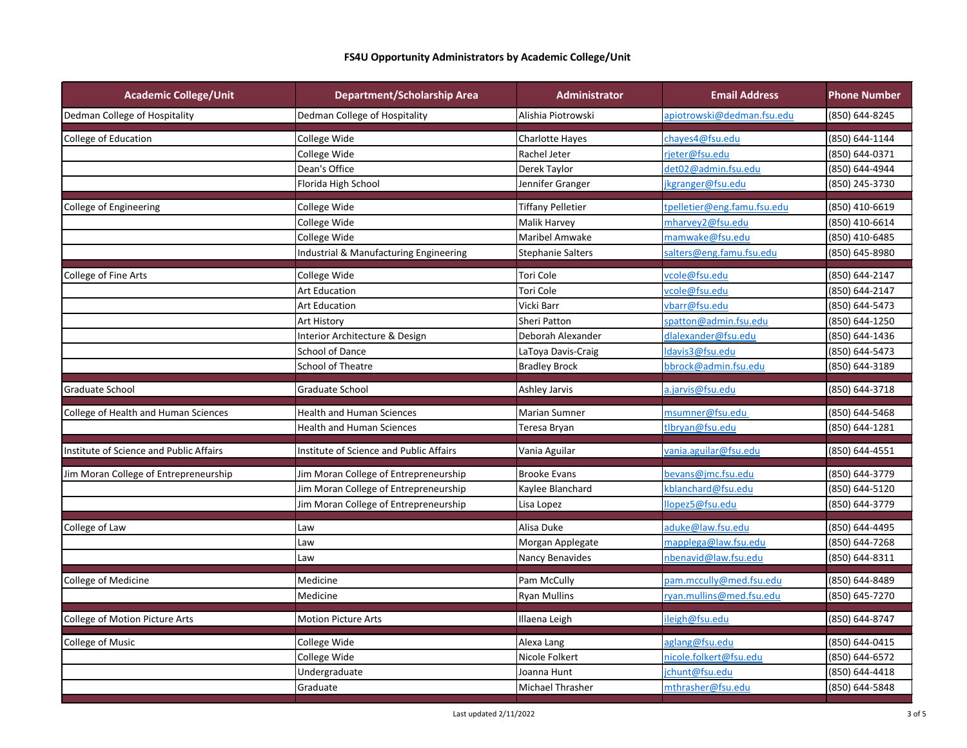| <b>Academic College/Unit</b>            | <b>Department/Scholarship Area</b>      | Administrator            | <b>Email Address</b>        | <b>Phone Number</b> |
|-----------------------------------------|-----------------------------------------|--------------------------|-----------------------------|---------------------|
| Dedman College of Hospitality           | Dedman College of Hospitality           | Alishia Piotrowski       | apiotrowski@dedman.fsu.edu  | (850) 644-8245      |
| College of Education                    | College Wide                            | <b>Charlotte Hayes</b>   | chayes4@fsu.edu             | (850) 644-1144      |
|                                         | College Wide                            | Rachel Jeter             | rjeter@fsu.edu              | (850) 644-0371      |
|                                         | Dean's Office                           | Derek Taylor             | det02@admin.fsu.edu         | (850) 644-4944      |
|                                         | Florida High School                     | Jennifer Granger         | jkgranger@fsu.edu           | (850) 245-3730      |
| College of Engineering                  | College Wide                            | <b>Tiffany Pelletier</b> | tpelletier@eng.famu.fsu.edu | (850) 410-6619      |
|                                         | College Wide                            | <b>Malik Harvey</b>      | mharvey2@fsu.edu            | (850) 410-6614      |
|                                         | College Wide                            | Maribel Amwake           | mamwake@fsu.edu             | (850) 410-6485      |
|                                         | Industrial & Manufacturing Engineering  | <b>Stephanie Salters</b> | salters@eng.famu.fsu.edu    | (850) 645-8980      |
| College of Fine Arts                    | College Wide                            | Tori Cole                | vcole@fsu.edu               | (850) 644-2147      |
|                                         | <b>Art Education</b>                    | Tori Cole                | vcole@fsu.edu               | (850) 644-2147      |
|                                         | <b>Art Education</b>                    | Vicki Barr               | vbarr@fsu.edu               | (850) 644-5473      |
|                                         | Art History                             | <b>Sheri Patton</b>      | spatton@admin.fsu.edu       | (850) 644-1250      |
|                                         | Interior Architecture & Design          | Deborah Alexander        | dlalexander@fsu.edu         | (850) 644-1436      |
|                                         | School of Dance                         | LaToya Davis-Craig       | ldavis3@fsu.edu             | (850) 644-5473      |
|                                         | School of Theatre                       | <b>Bradley Brock</b>     | bbrock@admin.fsu.edu        | (850) 644-3189      |
| <b>Graduate School</b>                  | Graduate School                         | Ashley Jarvis            | a.jarvis@fsu.edu            | (850) 644-3718      |
| College of Health and Human Sciences    | <b>Health and Human Sciences</b>        | <b>Marian Sumner</b>     | msumner@fsu.edu             | (850) 644-5468      |
|                                         | <b>Health and Human Sciences</b>        | Teresa Bryan             | tlbryan@fsu.edu             | (850) 644-1281      |
| Institute of Science and Public Affairs | Institute of Science and Public Affairs | Vania Aguilar            | vania.aguilar@fsu.edu       | (850) 644-4551      |
| Jim Moran College of Entrepreneurship   | Jim Moran College of Entrepreneurship   | <b>Brooke Evans</b>      | bevans@jmc.fsu.edu          | (850) 644-3779      |
|                                         | Jim Moran College of Entrepreneurship   | Kaylee Blanchard         | kblanchard@fsu.edu          | (850) 644-5120      |
|                                         | Jim Moran College of Entrepreneurship   | Lisa Lopez               | llopez5@fsu.edu             | (850) 644-3779      |
| College of Law                          | Law                                     | Alisa Duke               | aduke@law.fsu.edu           | (850) 644-4495      |
|                                         | Law                                     | Morgan Applegate         | mapplega@law.fsu.edu        | (850) 644-7268      |
|                                         | Law                                     | Nancy Benavides          | nbenavid@law.fsu.edu        | (850) 644-8311      |
| College of Medicine                     | Medicine                                | Pam McCully              | pam.mccully@med.fsu.edu     | (850) 644-8489      |
|                                         | Medicine                                | <b>Ryan Mullins</b>      | ryan.mullins@med.fsu.edu    | (850) 645-7270      |
| College of Motion Picture Arts          | <b>Motion Picture Arts</b>              | Illaena Leigh            | ileigh@fsu.edu              | (850) 644-8747      |
| <b>College of Music</b>                 | College Wide                            | Alexa Lang               | aglang@fsu.edu              | (850) 644-0415      |
|                                         | College Wide                            | Nicole Folkert           | nicole.folkert@fsu.edu      | (850) 644-6572      |
|                                         | Undergraduate                           | Joanna Hunt              | jchunt@fsu.edu              | (850) 644-4418      |
|                                         | Graduate                                | Michael Thrasher         | mthrasher@fsu.edu           | (850) 644-5848      |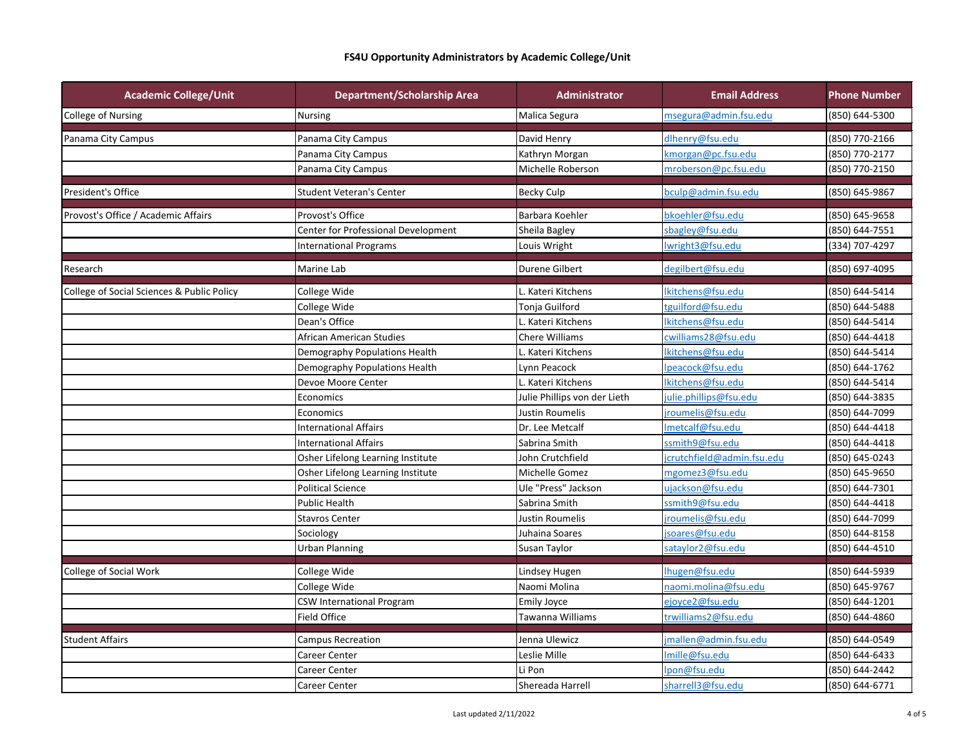| <b>Academic College/Unit</b>               | <b>Department/Scholarship Area</b>  | Administrator                | <b>Email Address</b>       | <b>Phone Number</b> |
|--------------------------------------------|-------------------------------------|------------------------------|----------------------------|---------------------|
| College of Nursing                         | <b>Nursing</b>                      | Malica Segura                | msegura@admin.fsu.edu      | (850) 644-5300      |
| Panama City Campus                         | Panama City Campus                  | David Henry                  | dlhenry@fsu.edu            | (850) 770-2166      |
|                                            | Panama City Campus                  | Kathryn Morgan               | kmorgan@pc.fsu.edu         | (850) 770-2177      |
|                                            | Panama City Campus                  | Michelle Roberson            | mroberson@pc.fsu.edu       | (850) 770-2150      |
| President's Office                         | <b>Student Veteran's Center</b>     | <b>Becky Culp</b>            | bculp@admin.fsu.edu        | (850) 645-9867      |
| Provost's Office / Academic Affairs        | Provost's Office                    | Barbara Koehler              | bkoehler@fsu.edu           | (850) 645-9658      |
|                                            | Center for Professional Development | Sheila Bagley                | sbagley@fsu.edu            | (850) 644-7551      |
|                                            | <b>International Programs</b>       | Louis Wright                 | lwright3@fsu.edu           | (334) 707-4297      |
| Research                                   | Marine Lab                          | Durene Gilbert               | degilbert@fsu.edu          | (850) 697-4095      |
| College of Social Sciences & Public Policy | College Wide                        | Kateri Kitchens              | lkitchens@fsu.edu          | (850) 644-5414      |
|                                            | College Wide                        | Tonja Guilford               | tguilford@fsu.edu          | (850) 644-5488      |
|                                            | Dean's Office                       | Kateri Kitchens              | lkitchens@fsu.edu          | (850) 644-5414      |
|                                            | African American Studies            | <b>Chere Williams</b>        | cwilliams28@fsu.edu        | (850) 644-4418      |
|                                            | Demography Populations Health       | L. Kateri Kitchens           | lkitchens@fsu.edu          | (850) 644-5414      |
|                                            | Demography Populations Health       | Lynn Peacock                 | lpeacock@fsu.edu           | (850) 644-1762      |
|                                            | Devoe Moore Center                  | L. Kateri Kitchens           | lkitchens@fsu.edu          | (850) 644-5414      |
|                                            | Economics                           | Julie Phillips von der Lieth | julie.phillips@fsu.edu     | (850) 644-3835      |
|                                            | Economics                           | Justin Roumelis              | iroumelis@fsu.edu          | (850) 644-7099      |
|                                            | <b>International Affairs</b>        | Dr. Lee Metcalf              | Imetcalf@fsu.edu           | (850) 644-4418      |
|                                            | <b>International Affairs</b>        | Sabrina Smith                | ssmith9@fsu.edu            | (850) 644-4418      |
|                                            | Osher Lifelong Learning Institute   | John Crutchfield             | jcrutchfield@admin.fsu.edu | (850) 645-0243      |
|                                            | Osher Lifelong Learning Institute   | Michelle Gomez               | mgomez3@fsu.edu            | (850) 645-9650      |
|                                            | <b>Political Science</b>            | Ule "Press" Jackson          | ujackson@fsu.edu           | (850) 644-7301      |
|                                            | <b>Public Health</b>                | Sabrina Smith                | ssmith9@fsu.edu            | (850) 644-4418      |
|                                            | <b>Stavros Center</b>               | Justin Roumelis              | jroumelis@fsu.edu          | (850) 644-7099      |
|                                            | Sociology                           | Juhaina Soares               | jsoares@fsu.edu            | (850) 644-8158      |
|                                            | <b>Urban Planning</b>               | Susan Taylor                 | sataylor2@fsu.edu          | (850) 644-4510      |
| College of Social Work                     | College Wide                        | Lindsey Hugen                | Ihugen@fsu.edu             | (850) 644-5939      |
|                                            | College Wide                        | Naomi Molina                 | naomi.molina@fsu.edu       | (850) 645-9767      |
|                                            | CSW International Program           | Emily Joyce                  | ejoyce2@fsu.edu            | (850) 644-1201      |
|                                            | Field Office                        | Tawanna Williams             | trwilliams2@fsu.edu        | (850) 644-4860      |
| <b>Student Affairs</b>                     | Campus Recreation                   | Jenna Ulewicz                | jmallen@admin.fsu.edu      | (850) 644-0549      |
|                                            | Career Center                       | Leslie Mille                 | Imille@fsu.edu             | (850) 644-6433      |
|                                            | Career Center                       | Li Pon                       | lpon@fsu.edu               | (850) 644-2442      |
|                                            | Career Center                       | Shereada Harrell             | sharrell3@fsu.edu          | (850) 644-6771      |